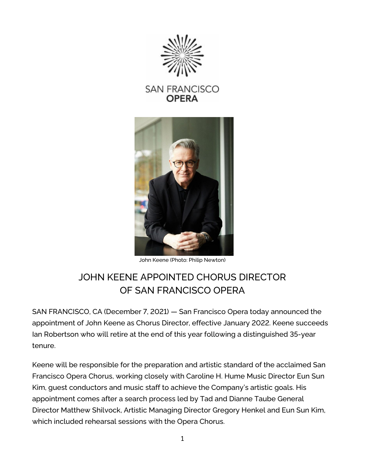

**SAN FRANCISCO OPERA** 



John Keene (Photo: Philip Newton)

# JOHN KEENE APPOINTED CHORUS DIRECTOR OF SAN FRANCISCO OPERA

SAN FRANCISCO, CA (December 7, 2021) — San Francisco Opera today announced the appointment of John Keene as Chorus Director, effective January 2022. Keene succeeds Ian Robertson who will retire at the end of this year following a distinguished 35-year tenure.

Keene will be responsible for the preparation and artistic standard of the acclaimed San Francisco Opera Chorus, working closely with Caroline H. Hume Music Director Eun Sun Kim, guest conductors and music staff to achieve the Company's artistic goals. His appointment comes after a search process led by Tad and Dianne Taube General Director Matthew Shilvock, Artistic Managing Director Gregory Henkel and Eun Sun Kim, which included rehearsal sessions with the Opera Chorus.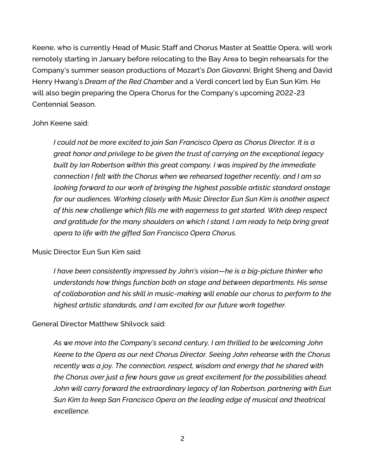Keene, who is currently Head of Music Staff and Chorus Master at Seattle Opera, will work remotely starting in January before relocating to the Bay Area to begin rehearsals for the Company's summer season productions of Mozart's *Don Giovanni*, Bright Sheng and David Henry Hwang's *Dream of the Red Chamber* and a Verdi concert led by Eun Sun Kim. He will also begin preparing the Opera Chorus for the Company's upcoming 2022-23 Centennial Season.

## John Keene said:

*I could not be more excited to join San Francisco Opera as Chorus Director. It is a great honor and privilege to be given the trust of carrying on the exceptional legacy built by Ian Robertson within this great company. I was inspired by the immediate connection I felt with the Chorus when we rehearsed together recently, and I am so looking forward to our work of bringing the highest possible artistic standard onstage for our audiences. Working closely with Music Director Eun Sun Kim is another aspect of this new challenge which fills me with eagerness to get started. With deep respect and gratitude for the many shoulders on which I stand, I am ready to help bring great opera to life with the gifted San Francisco Opera Chorus.*

## Music Director Eun Sun Kim said:

*I have been consistently impressed by John's vision—he is a big-picture thinker who understands how things function both on stage and between departments. His sense of collaboration and his skill in music-making will enable our chorus to perform to the highest artistic standards, and I am excited for our future work together.*

General Director Matthew Shilvock said:

*As we move into the Company's second century, I am thrilled to be welcoming John Keene to the Opera as our next Chorus Director. Seeing John rehearse with the Chorus recently was a joy. The connection, respect, wisdom and energy that he shared with the Chorus over just a few hours gave us great excitement for the possibilities ahead. John will carry forward the extraordinary legacy of Ian Robertson, partnering with Eun Sun Kim to keep San Francisco Opera on the leading edge of musical and theatrical excellence.*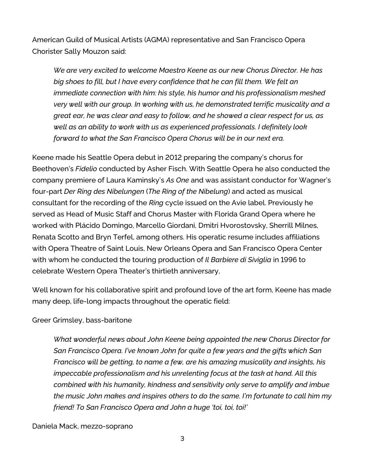American Guild of Musical Artists (AGMA) representative and San Francisco Opera Chorister Sally Mouzon said:

*We are very excited to welcome Maestro Keene as our new Chorus Director. He has big shoes to fill, but I have every confidence that he can fill them. We felt an immediate connection with him: his style, his humor and his professionalism meshed very well with our group. In working with us, he demonstrated terrific musicality and a great ear, he was clear and easy to follow, and he showed a clear respect for us, as well as an ability to work with us as experienced professionals. I definitely look forward to what the San Francisco Opera Chorus will be in our next era.*

Keene made his Seattle Opera debut in 2012 preparing the company's chorus for Beethoven's *Fidelio* conducted by Asher Fisch. With Seattle Opera he also conducted the company premiere of Laura Kaminsky's *As One* and was assistant conductor for Wagner's four-part *Der Ring des Nibelungen* (*The Ring of the Nibelung*) and acted as musical consultant for the recording of the *Ring* cycle issued on the Avie label. Previously he served as Head of Music Staff and Chorus Master with Florida Grand Opera where he worked with Plácido Domingo, Marcello Giordani, Dmitri Hvorostovsky, Sherrill Milnes, Renata Scotto and Bryn Terfel, among others. His operatic resume includes affiliations with Opera Theatre of Saint Louis, New Orleans Opera and San Francisco Opera Center with whom he conducted the touring production of *Il Barbiere di Siviglia* in 1996 to celebrate Western Opera Theater's thirtieth anniversary,

Well known for his collaborative spirit and profound love of the art form, Keene has made many deep, life-long impacts throughout the operatic field:

#### Greer Grimsley, bass-baritone

*What wonderful news about John Keene being appointed the new Chorus Director for San Francisco Opera. I've known John for quite a few years and the gifts which San Francisco will be getting, to name a few, are his amazing musicality and insights, his impeccable professionalism and his unrelenting focus at the task at hand. All this combined with his humanity, kindness and sensitivity only serve to amplify and imbue the music John makes and inspires others to do the same. I'm fortunate to call him my friend! To San Francisco Opera and John a huge 'toi, toi, toi!'*

#### Daniela Mack, mezzo-soprano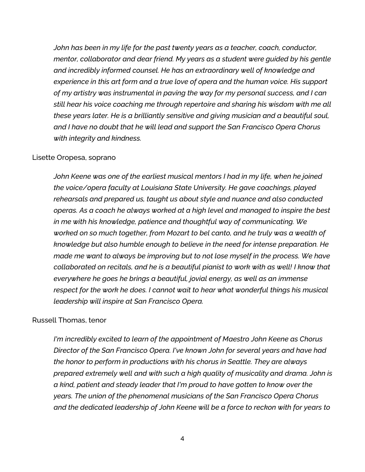*John has been in my life for the past twenty years as a teacher, coach, conductor, mentor, collaborator and dear friend. My years as a student were guided by his gentle and incredibly informed counsel. He has an extraordinary well of knowledge and experience in this art form and a true love of opera and the human voice. His support of my artistry was instrumental in paving the way for my personal success, and I can still hear his voice coaching me through repertoire and sharing his wisdom with me all these years later. He is a brilliantly sensitive and giving musician and a beautiful soul, and I have no doubt that he will lead and support the San Francisco Opera Chorus with integrity and kindness.*

#### Lisette Oropesa, soprano

*John Keene was one of the earliest musical mentors I had in my life, when he joined the voice/opera faculty at Louisiana State University. He gave coachings, played rehearsals and prepared us, taught us about style and nuance and also conducted operas. As a coach he always worked at a high level and managed to inspire the best in me with his knowledge, patience and thoughtful way of communicating. We worked on so much together, from Mozart to bel canto, and he truly was a wealth of knowledge but also humble enough to believe in the need for intense preparation. He made me want to always be improving but to not lose myself in the process. We have collaborated on recitals, and he is a beautiful pianist to work with as well! I know that everywhere he goes he brings a beautiful, jovial energy, as well as an immense respect for the work he does. I cannot wait to hear what wonderful things his musical leadership will inspire at San Francisco Opera.*

## Russell Thomas, tenor

*I'm incredibly excited to learn of the appointment of Maestro John Keene as Chorus Director of the San Francisco Opera. I've known John for several years and have had the honor to perform in productions with his chorus in Seattle. They are always prepared extremely well and with such a high quality of musicality and drama. John is a kind, patient and steady leader that I'm proud to have gotten to know over the years. The union of the phenomenal musicians of the San Francisco Opera Chorus and the dedicated leadership of John Keene will be a force to reckon with for years to*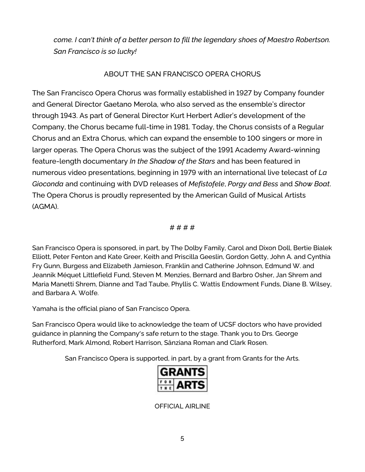*come. I can't think of a better person to fill the legendary shoes of Maestro Robertson. San Francisco is so lucky!*

# ABOUT THE SAN FRANCISCO OPERA CHORUS

The San Francisco Opera Chorus was formally established in 1927 by Company founder and General Director Gaetano Merola, who also served as the ensemble's director through 1943. As part of General Director Kurt Herbert Adler's development of the Company, the Chorus became full-time in 1981. Today, the Chorus consists of a Regular Chorus and an Extra Chorus, which can expand the ensemble to 100 singers or more in larger operas. The Opera Chorus was the subject of the 1991 Academy Award-winning feature-length documentary *In the Shadow of the Stars* and has been featured in numerous video presentations, beginning in 1979 with an international live telecast of *La Gioconda* and continuing with DVD releases of *Mefistofele*, *Porgy and Bess* and *Show Boat*. The Opera Chorus is proudly represented by the American Guild of Musical Artists (AGMA).

# # # # #

San Francisco Opera is sponsored, in part, by The Dolby Family, Carol and Dixon Doll, Bertie Bialek Elliott, Peter Fenton and Kate Greer, Keith and Priscilla Geeslin, Gordon Getty, John A. and Cynthia Fry Gunn, Burgess and Elizabeth Jamieson, Franklin and Catherine Johnson, Edmund W. and Jeannik Méquet Littlefield Fund, Steven M. Menzies, Bernard and Barbro Osher, Jan Shrem and Maria Manetti Shrem, Dianne and Tad Taube, Phyllis C. Wattis Endowment Funds, Diane B. Wilsey, and Barbara A. Wolfe.

Yamaha is the official piano of San Francisco Opera.

San Francisco Opera would like to acknowledge the team of UCSF doctors who have provided guidance in planning the Company's safe return to the stage. Thank you to Drs. George Rutherford, Mark Almond, Robert Harrison, Sânziana Roman and Clark Rosen.

San Francisco Opera is supported, in part, by a grant from Grants for the Arts.



OFFICIAL AIRLINE